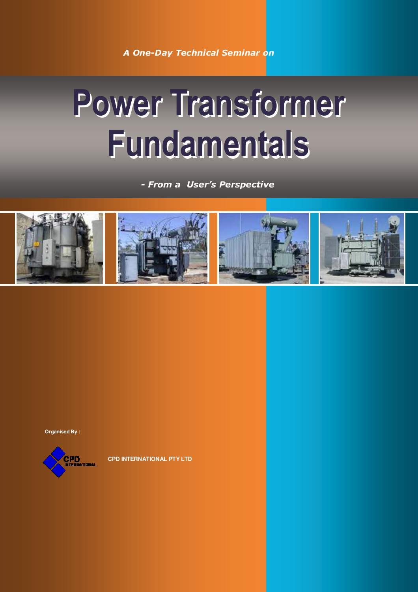*A One-Day Technical Seminar on*

# **Power Transformer Fundamentals**

*- From a User's Perspective*



**Organised By :**



**CPD INTERNATIONAL PTY LTD**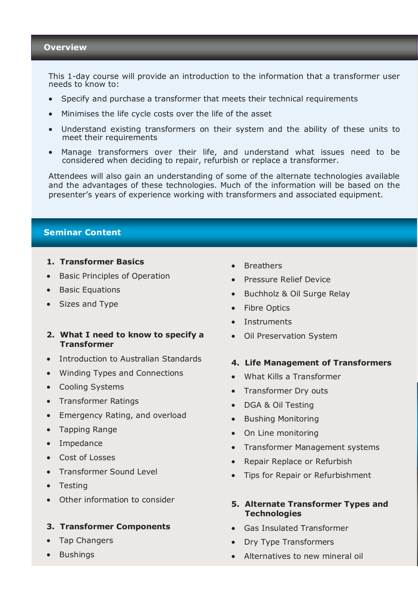This 1-day course will provide an introduction to the information that a transformer user needs to know to:

- Specify and purchase a transformer that meets their technical requirements
- Minimises the life cycle costs over the life of the asset
- Understand existing transformers on their system and the ability of these units to meet their requirements
- Manage transformers over their life, and understand what issues need to be considered when deciding to repair, refurbish or replace a transformer.

Attendees will also gain an understanding of some of the alternate technologies available and the advantages of these technologies. Much of the information will be based on the presenter's years of experience working with transformers and associated equipment.

# **Seminar Content**

#### **1. Transformer Basics**

- Basic Principles of Operation
- Basic Equations
- Sizes and Type

# **2. What I need to know to specify a Transformer**

- Introduction to Australian Standards
- Winding Types and Connections
- Cooling Systems
- Transformer Ratings
- Emergency Rating, and overload
- Tapping Range
- Impedance
- Cost of Losses
- Transformer Sound Level
- Testing
- Other information to consider

#### **3. Transformer Components**

- Tap Changers
- Bushings
- **Breathers**
- Pressure Relief Device
- Buchholz & Oil Surge Relay
- Fibre Optics
- **Instruments**
- Oil Preservation System

# **4. Life Management of Transformers**

- What Kills a Transformer
- Transformer Dry outs
- DGA & Oil Testing
- Bushing Monitoring
- On Line monitoring
- Transformer Management systems
- Repair Replace or Refurbish
- Tips for Repair or Refurbishment

## **5. Alternate Transformer Types and Technologies**

- Gas Insulated Transformer
- Dry Type Transformers
- Alternatives to new mineral oil